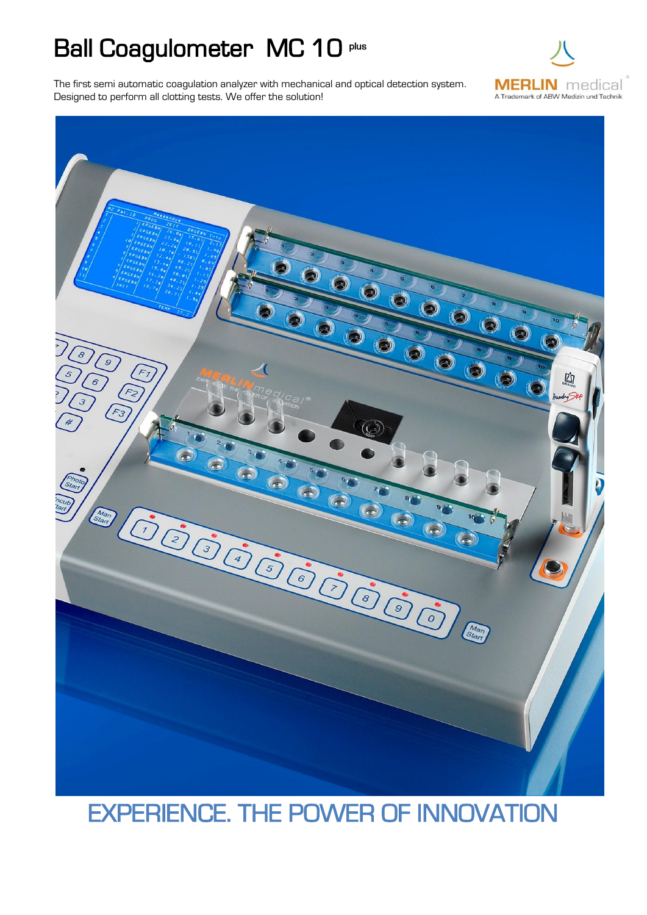## Ball Coagulometer MC 10 plus

The first semi automatic coagulation analyzer with mechanical and optical detection system. Designed to perform all clotting tests. We offer the solution!





## EXPERIENCE. THE POWER OF INNOVATION